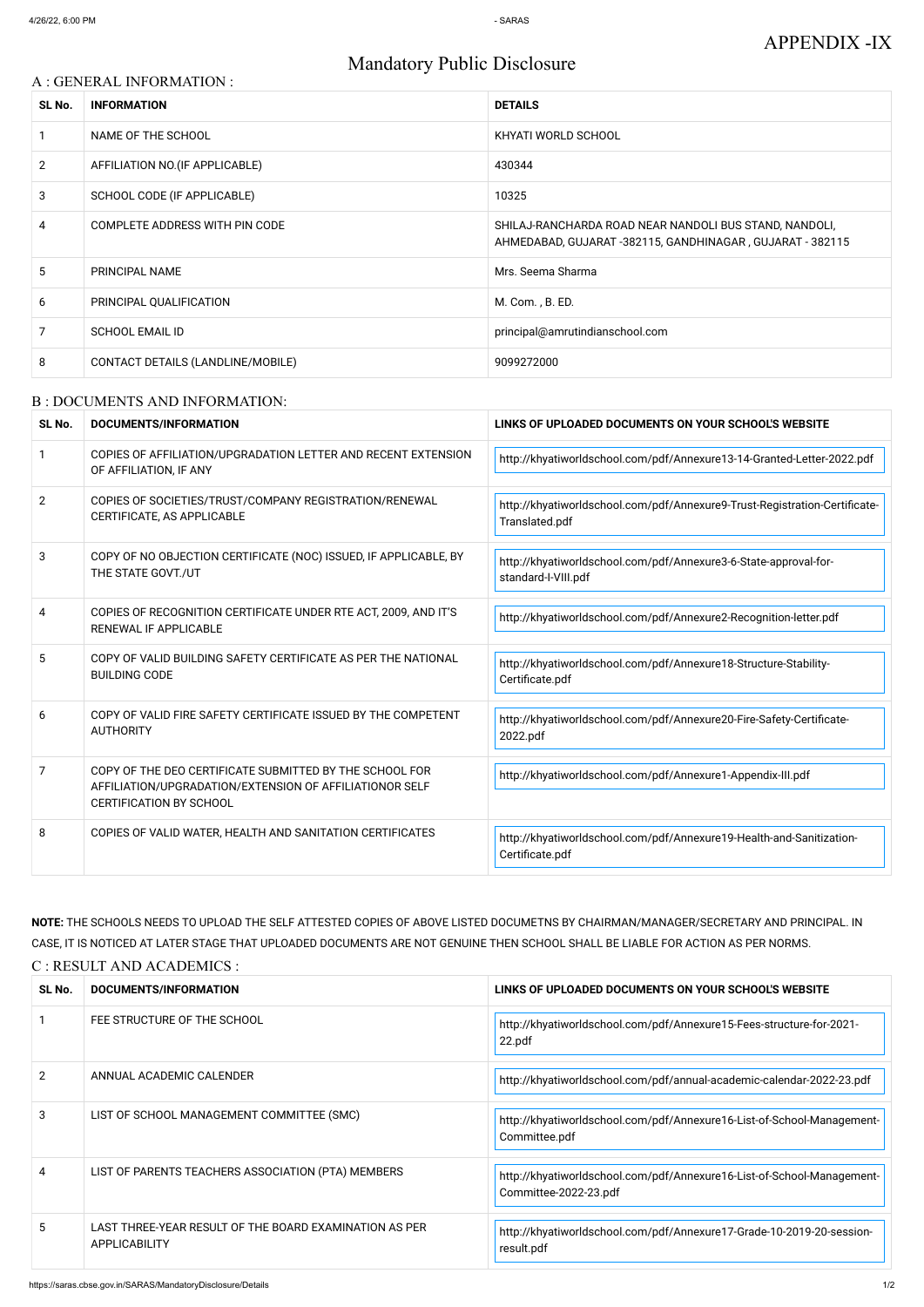# Mandatory Public Disclosure

### A : GENERAL INFORMATION :

| SL No.         | <b>INFORMATION</b>                | <b>DETAILS</b>                                                                                                      |
|----------------|-----------------------------------|---------------------------------------------------------------------------------------------------------------------|
|                | NAME OF THE SCHOOL                | KHYATI WORLD SCHOOL                                                                                                 |
| $\overline{2}$ | AFFILIATION NO. (IF APPLICABLE)   | 430344                                                                                                              |
| 3              | SCHOOL CODE (IF APPLICABLE)       | 10325                                                                                                               |
| 4              | COMPLETE ADDRESS WITH PIN CODE    | SHILAJ-RANCHARDA ROAD NEAR NANDOLI BUS STAND, NANDOLI,<br>AHMEDABAD, GUJARAT -382115, GANDHINAGAR, GUJARAT - 382115 |
| 5              | PRINCIPAL NAME                    | Mrs. Seema Sharma                                                                                                   |
| 6              | PRINCIPAL QUALIFICATION           | M. Com., B. ED.                                                                                                     |
| 7              | <b>SCHOOL EMAIL ID</b>            | principal@amrutindianschool.com                                                                                     |
| 8              | CONTACT DETAILS (LANDLINE/MOBILE) | 9099272000                                                                                                          |

#### B : DOCUMENTS AND INFORMATION:

| SL No.         | <b>DOCUMENTS/INFORMATION</b>                                                                                                                         | LINKS OF UPLOADED DOCUMENTS ON YOUR SCHOOL'S WEBSITE                                         |
|----------------|------------------------------------------------------------------------------------------------------------------------------------------------------|----------------------------------------------------------------------------------------------|
|                | COPIES OF AFFILIATION/UPGRADATION LETTER AND RECENT EXTENSION<br>OF AFFILIATION, IF ANY                                                              | http://khyatiworldschool.com/pdf/Annexure13-14-Granted-Letter-2022.pdf                       |
| $\overline{2}$ | COPIES OF SOCIETIES/TRUST/COMPANY REGISTRATION/RENEWAL<br>CERTIFICATE, AS APPLICABLE                                                                 | http://khyatiworldschool.com/pdf/Annexure9-Trust-Registration-Certificate-<br>Translated.pdf |
| 3              | COPY OF NO OBJECTION CERTIFICATE (NOC) ISSUED, IF APPLICABLE, BY<br>THE STATE GOVT./UT                                                               | http://khyatiworldschool.com/pdf/Annexure3-6-State-approval-for-<br>standard-I-VIII.pdf      |
| 4              | COPIES OF RECOGNITION CERTIFICATE UNDER RTE ACT, 2009, AND IT'S<br><b>RENEWAL IF APPLICABLE</b>                                                      | http://khyatiworldschool.com/pdf/Annexure2-Recognition-letter.pdf                            |
| 5              | COPY OF VALID BUILDING SAFETY CERTIFICATE AS PER THE NATIONAL<br><b>BUILDING CODE</b>                                                                | http://khyatiworldschool.com/pdf/Annexure18-Structure-Stability-<br>Certificate.pdf          |
| 6              | COPY OF VALID FIRE SAFETY CERTIFICATE ISSUED BY THE COMPETENT<br><b>AUTHORITY</b>                                                                    | http://khyatiworldschool.com/pdf/Annexure20-Fire-Safety-Certificate-<br>2022.pdf             |
| 7              | COPY OF THE DEO CERTIFICATE SUBMITTED BY THE SCHOOL FOR<br>AFFILIATION/UPGRADATION/EXTENSION OF AFFILIATIONOR SELF<br><b>CERTIFICATION BY SCHOOL</b> | http://khyatiworldschool.com/pdf/Annexure1-Appendix-III.pdf                                  |
| 8              | COPIES OF VALID WATER, HEALTH AND SANITATION CERTIFICATES                                                                                            | http://khyatiworldschool.com/pdf/Annexure19-Health-and-Sanitization-<br>Certificate.pdf      |

**NOTE:** THE SCHOOLS NEEDS TO UPLOAD THE SELF ATTESTED COPIES OF ABOVE LISTED DOCUMETNS BY CHAIRMAN/MANAGER/SECRETARY AND PRINCIPAL. IN CASE, IT IS NOTICED AT LATER STAGE THAT UPLOADED DOCUMENTS ARE NOT GENUINE THEN SCHOOL SHALL BE LIABLE FOR ACTION AS PER NORMS. C : RESULT AND ACADEMICS :

| SL No.        | DOCUMENTS/INFORMATION                                                          | LINKS OF UPLOADED DOCUMENTS ON YOUR SCHOOL'S WEBSITE                                            |
|---------------|--------------------------------------------------------------------------------|-------------------------------------------------------------------------------------------------|
|               | FEE STRUCTURE OF THE SCHOOL                                                    | http://khyatiworldschool.com/pdf/Annexure15-Fees-structure-for-2021-<br>22.pdf                  |
| $\mathcal{P}$ | ANNUAL ACADEMIC CALENDER                                                       | http://khyatiworldschool.com/pdf/annual-academic-calendar-2022-23.pdf                           |
| 3             | LIST OF SCHOOL MANAGEMENT COMMITTEE (SMC)                                      | http://khyatiworldschool.com/pdf/Annexure16-List-of-School-Management-<br>Committee.pdf         |
| 4             | LIST OF PARENTS TEACHERS ASSOCIATION (PTA) MEMBERS                             | http://khyatiworldschool.com/pdf/Annexure16-List-of-School-Management-<br>Committee-2022-23.pdf |
| 5.            | LAST THREE-YEAR RESULT OF THE BOARD EXAMINATION AS PER<br><b>APPLICABILITY</b> | http://khyatiworldschool.com/pdf/Annexure17-Grade-10-2019-20-session-<br>result.pdf             |